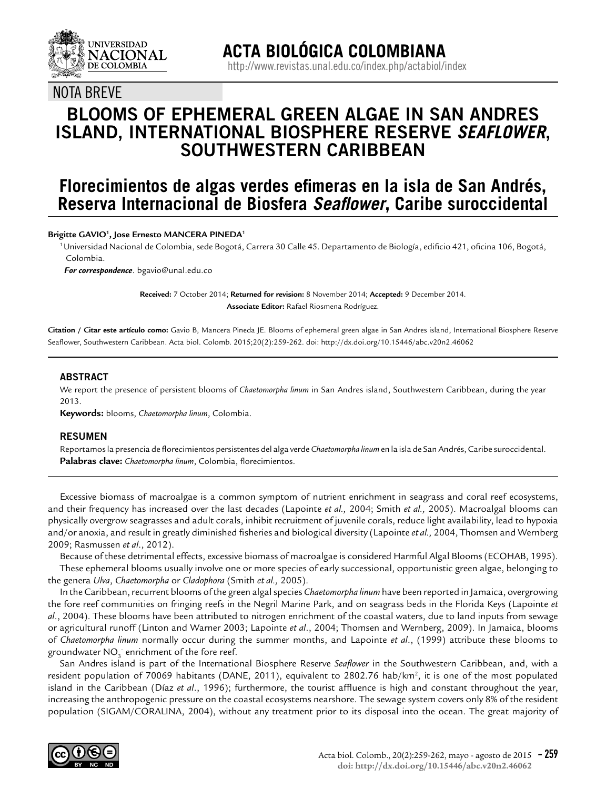

### NOTA BREVE

## **BLOOMS OF EPHEMERAL GREEN ALGAE IN SAN ANDRES ISLAND, INTERNATIONAL BIOSPHERE RESERVE** *SEAFLOWER***, SOUTHWESTERN CARIBBEAN**

# **Florecimientos de algas verdes efimeras en la isla de San Andrés, Reserva Internacional de Biosfera** *Seaflower***, Caribe suroccidental**

#### **Brigitte GAVIO1 , Jose Ernesto MANCERA PINEDA1**

1 Universidad Nacional de Colombia, sede Bogotá, Carrera 30 Calle 45. Departamento de Biología, edificio 421, oficina 106, Bogotá, Colombia.

 *For correspondence*. bgavio@unal.edu.co

**Received:** 7 October 2014; **Returned for revision:** 8 November 2014; **Accepted:** 9 December 2014. **Associate Editor:** Rafael Riosmena Rodríguez.

**Citation / Citar este artículo como:** Gavio B, Mancera Pineda JE. Blooms of ephemeral green algae in San Andres island, International Biosphere Reserve Seaflower, Southwestern Caribbean. Acta biol. Colomb. 2015;20(2):259-262. doi: http://dx.doi.org/10.15446/abc.v20n2.46062

#### **ABSTRACT**

We report the presence of persistent blooms of *Chaetomorpha linum* in San Andres island, Southwestern Caribbean, during the year 2013.

**Keywords:** blooms, *Chaetomorpha linum*, Colombia.

#### **RESUMEN**

Reportamos la presencia de florecimientos persistentes del alga verde *Chaetomorpha linum* en la isla de San Andrés, Caribe suroccidental. **Palabras clave:** *Chaetomorpha linum*, Colombia, florecimientos.

Excessive biomass of macroalgae is a common symptom of nutrient enrichment in seagrass and coral reef ecosystems, and their frequency has increased over the last decades (Lapointe *et al.,* 2004; Smith *et al.,* 2005). Macroalgal blooms can physically overgrow seagrasses and adult corals, inhibit recruitment of juvenile corals, reduce light availability, lead to hypoxia and/or anoxia, and result in greatly diminished fisheries and biological diversity (Lapointe *et al.,* 2004, Thomsen and Wernberg 2009; Rasmussen *et al*., 2012).

Because of these detrimental effects, excessive biomass of macroalgae is considered Harmful Algal Blooms (ECOHAB, 1995). These ephemeral blooms usually involve one or more species of early successional, opportunistic green algae, belonging to the genera *Ulva*, *Chaetomorpha* or *Cladophora* (Smith *et al.,* 2005).

In the Caribbean, recurrent blooms of the green algal species *Chaetomorpha linum* have been reported in Jamaica, overgrowing the fore reef communities on fringing reefs in the Negril Marine Park, and on seagrass beds in the Florida Keys (Lapointe *et al*., 2004). These blooms have been attributed to nitrogen enrichment of the coastal waters, due to land inputs from sewage or agricultural runoff (Linton and Warner 2003; Lapointe *et al*., 2004; Thomsen and Wernberg, 2009). In Jamaica, blooms of *Chaetomorpha linum* normally occur during the summer months, and Lapointe *et al*., (1999) attribute these blooms to groundwater NO $_3^{\cdot}$  enrichment of the fore reef.

San Andres island is part of the International Biosphere Reserve *Seaflower* in the Southwestern Caribbean, and, with a resident population of 70069 habitants (DANE, 2011), equivalent to 2802.76 hab/km<sup>2</sup>, it is one of the most populated island in the Caribbean (Díaz *et al*., 1996); furthermore, the tourist affluence is high and constant throughout the year, increasing the anthropogenic pressure on the coastal ecosystems nearshore. The sewage system covers only 8% of the resident population (SIGAM/CORALINA, 2004), without any treatment prior to its disposal into the ocean. The great majority of

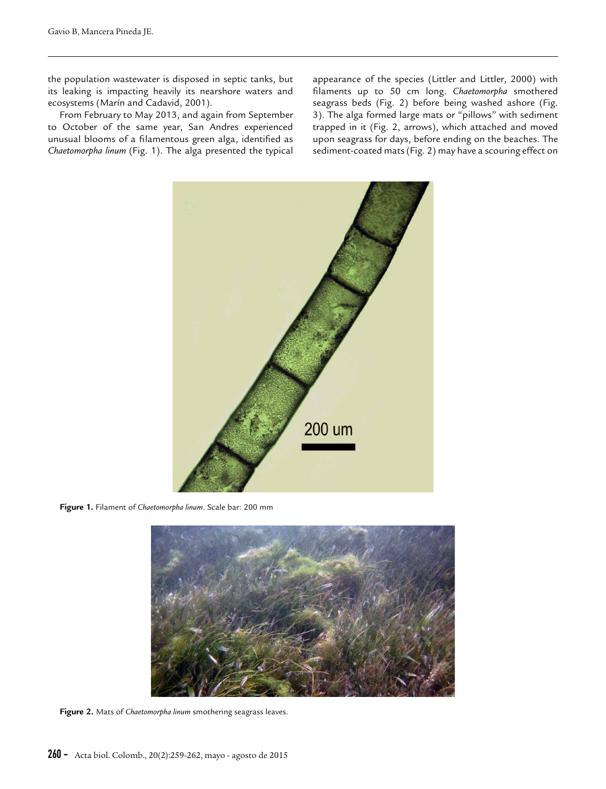the population wastewater is disposed in septic tanks, but its leaking is impacting heavily its nearshore waters and ecosystems (Marín and Cadavid, 2001).

From February to May 2013, and again from September to October of the same year, San Andres experienced unusual blooms of a filamentous green alga, identified as *Chaetomorpha linum* (Fig. 1). The alga presented the typical appearance of the species (Littler and Littler, 2000) with filaments up to 50 cm long. *Chaetomorpha* smothered seagrass beds (Fig. 2) before being washed ashore (Fig. 3). The alga formed large mats or "pillows" with sediment trapped in it (Fig. 2, arrows), which attached and moved upon seagrass for days, before ending on the beaches. The sediment-coated mats (Fig. 2) may have a scouring effect on



**Figure 1.** Filament of *Chaetomorpha linum*. Scale bar: 200 mm



**Figure 2.** Mats of *Chaetomorpha linum* smothering seagrass leaves.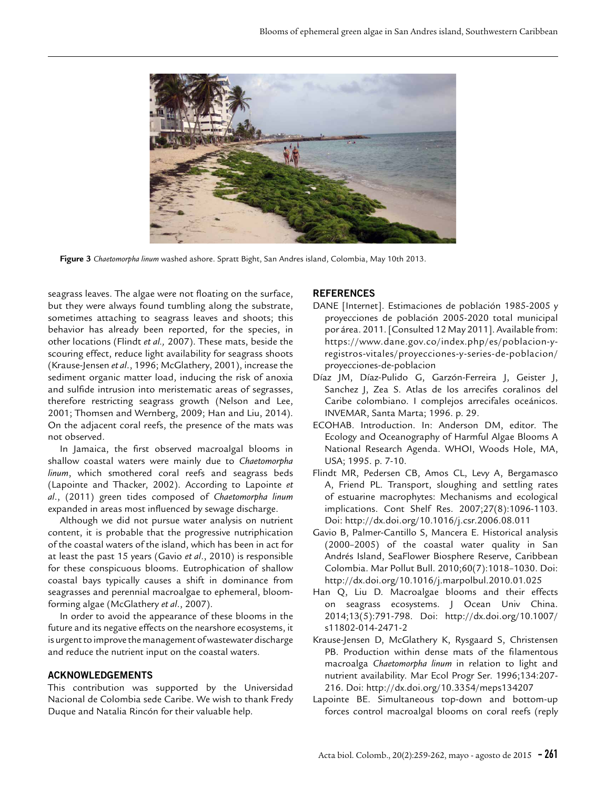

**Figure 3** *Chaetomorpha linum* washed ashore. Spratt Bight, San Andres island, Colombia, May 10th 2013.

seagrass leaves. The algae were not floating on the surface, but they were always found tumbling along the substrate, sometimes attaching to seagrass leaves and shoots; this behavior has already been reported, for the species, in other locations (Flindt *et al.,* 2007). These mats, beside the scouring effect, reduce light availability for seagrass shoots (Krause-Jensen *et al*., 1996; McGlathery, 2001), increase the sediment organic matter load, inducing the risk of anoxia and sulfide intrusion into meristematic areas of segrasses, therefore restricting seagrass growth (Nelson and Lee, 2001; Thomsen and Wernberg, 2009; Han and Liu, 2014). On the adjacent coral reefs, the presence of the mats was not observed.

In Jamaica, the first observed macroalgal blooms in shallow coastal waters were mainly due to *Chaetomorpha linum*, which smothered coral reefs and seagrass beds (Lapointe and Thacker, 2002). According to Lapointe *et al*., (2011) green tides composed of *Chaetomorpha linum* expanded in areas most influenced by sewage discharge.

Although we did not pursue water analysis on nutrient content, it is probable that the progressive nutriphication of the coastal waters of the island, which has been in act for at least the past 15 years (Gavio *et al*., 2010) is responsible for these conspicuous blooms. Eutrophication of shallow coastal bays typically causes a shift in dominance from seagrasses and perennial macroalgae to ephemeral, bloomforming algae (McGlathery *et al*., 2007).

In order to avoid the appearance of these blooms in the future and its negative effects on the nearshore ecosystems, it is urgent to improve the management of wastewater discharge and reduce the nutrient input on the coastal waters.

#### **ACKNOWLEDGEMENTS**

This contribution was supported by the Universidad Nacional de Colombia sede Caribe. We wish to thank Fredy Duque and Natalia Rincón for their valuable help.

#### **REFERENCES**

- DANE [Internet]. Estimaciones de población 1985-2005 y proyecciones de población 2005-2020 total municipal por área. 2011. [Consulted 12 May 2011]. Available from: https://www.dane.gov.co/index.php/es/poblacion-yregistros-vitales/proyecciones-y-series-de-poblacion/ proyecciones-de-poblacion
- Díaz JM, Díaz-Pulido G, Garzón-Ferreira J, Geister J, Sanchez J, Zea S. Atlas de los arrecifes coralinos del Caribe colombiano. I complejos arrecifales oceánicos. INVEMAR, Santa Marta; 1996. p. 29.
- ECOHAB. Introduction. In: Anderson DM, editor. The Ecology and Oceanography of Harmful Algae Blooms A National Research Agenda. WHOI, Woods Hole, MA, USA; 1995. p. 7-10.
- Flindt MR, Pedersen CB, Amos CL, Levy A, Bergamasco A, Friend PL. Transport, sloughing and settling rates of estuarine macrophytes: Mechanisms and ecological implications. Cont Shelf Res. 2007;27(8):1096-1103. Doi: http://dx.doi.org/10.1016/j.csr.2006.08.011
- Gavio B, Palmer-Cantillo S, Mancera E. Historical analysis (2000–2005) of the coastal water quality in San Andrés Island, SeaFlower Biosphere Reserve, Caribbean Colombia. Mar Pollut Bull. 2010;60(7):1018–1030. Doi: http://dx.doi.org/10.1016/j.marpolbul.2010.01.025
- Han Q, Liu D. Macroalgae blooms and their effects on seagrass ecosystems. J Ocean Univ China. 2014;13(5):791-798. Doi: http://dx.doi.org/10.1007/ s11802-014-2471-2
- Krause-Jensen D, McGlathery K, Rysgaard S, Christensen PB. Production within dense mats of the filamentous macroalga *Chaetomorpha linum* in relation to light and nutrient availability. Mar Ecol Progr Ser. 1996;134:207- 216. Doi: http://dx.doi.org/10.3354/meps134207
- Lapointe BE. Simultaneous top-down and bottom-up forces control macroalgal blooms on coral reefs (reply